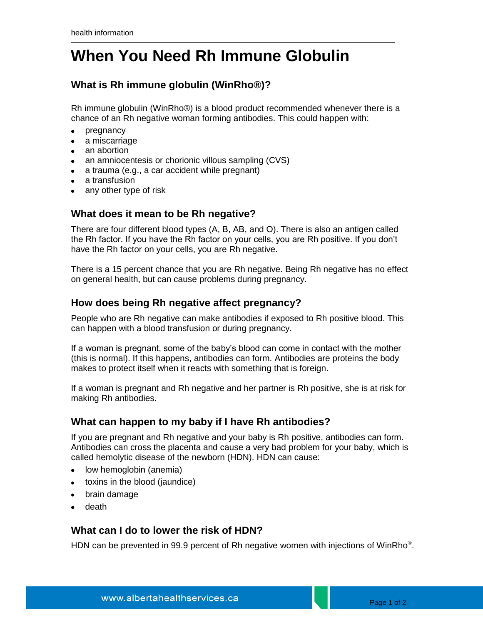# **When You Need Rh Immune Globulin**

## **What is Rh immune globulin (WinRho®)?**

Rh immune globulin (WinRho®) is a blood product recommended whenever there is a chance of an Rh negative woman forming antibodies. This could happen with:

- $\bullet$ pregnancy
- a miscarriage
- an abortion
- an amniocentesis or chorionic villous sampling (CVS)
- a trauma (e.g., a car accident while pregnant)
- a transfusion
- any other type of risk

#### **What does it mean to be Rh negative?**

There are four different blood types (A, B, AB, and O). There is also an antigen called the Rh factor. If you have the Rh factor on your cells, you are Rh positive. If you don't have the Rh factor on your cells, you are Rh negative.

There is a 15 percent chance that you are Rh negative. Being Rh negative has no effect on general health, but can cause problems during pregnancy.

#### **How does being Rh negative affect pregnancy?**

People who are Rh negative can make antibodies if exposed to Rh positive blood. This can happen with a blood transfusion or during pregnancy.

If a woman is pregnant, some of the baby's blood can come in contact with the mother (this is normal). If this happens, antibodies can form. Antibodies are proteins the body makes to protect itself when it reacts with something that is foreign.

If a woman is pregnant and Rh negative and her partner is Rh positive, she is at risk for making Rh antibodies.

### **What can happen to my baby if I have Rh antibodies?**

If you are pregnant and Rh negative and your baby is Rh positive, antibodies can form. Antibodies can cross the placenta and cause a very bad problem for your baby, which is called hemolytic disease of the newborn (HDN). HDN can cause:

- low hemoglobin (anemia)  $\bullet$
- toxins in the blood (jaundice)
- brain damage
- death

### **What can I do to lower the risk of HDN?**

HDN can be prevented in 99.9 percent of Rh negative women with injections of WinRho $^{\circ}$ .